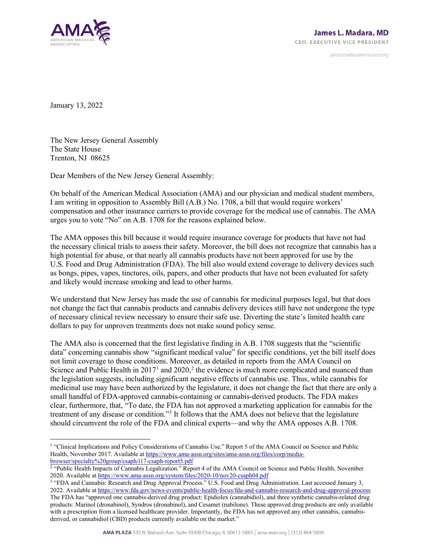

james.madara@ama-assn.org

January 13, 2022

The New Jersey General Assembly The State House Trenton, NJ 08625

Dear Members of the New Jersey General Assembly:

On behalf of the American Medical Association (AMA) and our physician and medical student members, I am writing in opposition to Assembly Bill (A.B.) No. 1708, a bill that would require workers' compensation and other insurance carriers to provide coverage for the medical use of cannabis. The AMA urges you to vote "No" on A.B. 1708 for the reasons explained below.

The AMA opposes this bill because it would require insurance coverage for products that have not had the necessary clinical trials to assess their safety. Moreover, the bill does not recognize that cannabis has a high potential for abuse, or that nearly all cannabis products have not been approved for use by the U.S. Food and Drug Administration (FDA). The bill also would extend coverage to delivery devices such as bongs, pipes, vapes, tinctures, oils, papers, and other products that have not been evaluated for safety and likely would increase smoking and lead to other harms.

We understand that New Jersey has made the use of cannabis for medicinal purposes legal, but that does not change the fact that cannabis products and cannabis delivery devices still have not undergone the type of necessary clinical review necessary to ensure their safe use. Diverting the state's limited health care dollars to pay for unproven treatments does not make sound policy sense.

The AMA also is concerned that the first legislative finding in A.B. 1708 suggests that the "scientific data" concerning cannabis show "significant medical value" for specific conditions, yet the bill itself does not limit coverage to those conditions. Moreover, as detailed in reports from the AMA Council on Science and Public Health in  $2017<sup>1</sup>$  $2017<sup>1</sup>$  $2017<sup>1</sup>$  and  $2020<sup>2</sup>$  $2020<sup>2</sup>$ , the evidence is much more complicated and nuanced than the legislation suggests, including significant negative effects of cannabis use. Thus, while cannabis for medicinal use may have been authorized by the legislature, it does not change the fact that there are only a small handful of FDA-approved cannabis-containing or cannabis-derived products. The FDA makes clear, furthermore, that, "To date, the FDA has not approved a marketing application for cannabis for the treatment of any disease or condition."[3](#page-0-2) It follows that the AMA does not believe that the legislature should circumvent the role of the FDA and clinical experts—and why the AMA opposes A.B. 1708.

<span id="page-0-2"></span><sup>3</sup> "FDA and Cannabis: Research and Drug Approval Process." U.S. Food and Drug Administration. Last accessed January 3,

<span id="page-0-0"></span><sup>&</sup>lt;sup>1</sup> "Clinical Implications and Policy Considerations of Cannabis Use." Report 5 of the AMA Council on Science and Public Health, November 2017. Available at [https://www.ama-assn.org/sites/ama-assn.org/files/corp/media](https://www.ama-assn.org/sites/ama-assn.org/files/corp/media-browser/specialty%20group/csaph/i17-csaph-report5.pdf)[browser/specialty%20group/csaph/i17-csaph-report5.pdf](https://www.ama-assn.org/sites/ama-assn.org/files/corp/media-browser/specialty%20group/csaph/i17-csaph-report5.pdf)

<span id="page-0-1"></span><sup>2</sup> "Public Health Impacts of Cannabis Legalization." Report 4 of the AMA Council on Science and Public Health, November 2020. Available a[t https://www.ama-assn.org/system/files/2020-10/nov20-csaph04.pdf](https://www.ama-assn.org/system/files/2020-10/nov20-csaph04.pdf)

<sup>2022.</sup> Available a[t https://www.fda.gov/news-events/public-health-focus/fda-and-cannabis-research-and-drug-approval-process](https://www.fda.gov/news-events/public-health-focus/fda-and-cannabis-research-and-drug-approval-process) The FDA has "approved one cannabis-derived drug product: Epidiolex (cannabidiol), and three synthetic cannabis-related drug products: Marinol (dronabinol), Syndros (dronabinol), and Cesamet (nabilone). These approved drug products are only available with a prescription from a licensed healthcare provider. Importantly, the FDA has not approved any other cannabis, cannabisderived, or cannabidiol (CBD) products currently available on the market."